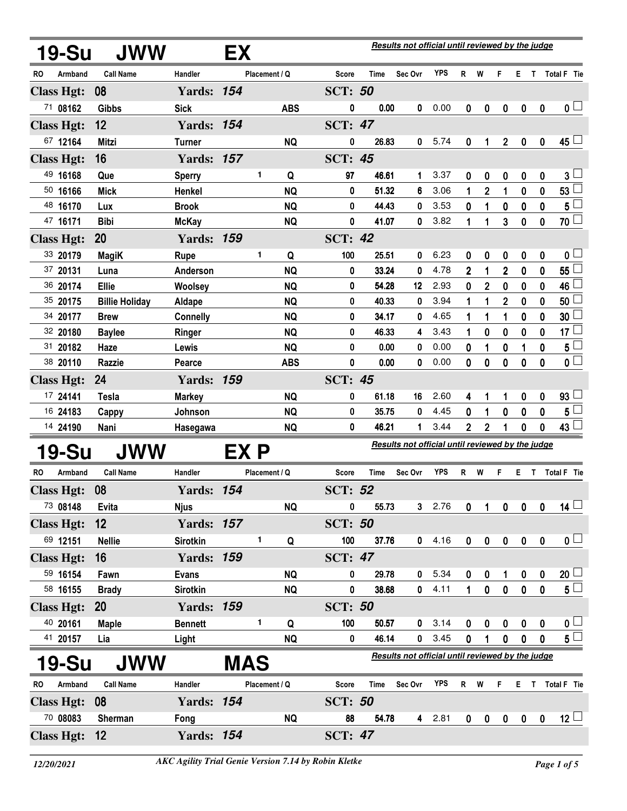|                   | <b>19-Su</b> | <b>JWW</b>            |                   | EX         |               | Results not official until reviewed by the judge |                                                  |                                                  |                |            |                |                  |                  |                  |              |                     |
|-------------------|--------------|-----------------------|-------------------|------------|---------------|--------------------------------------------------|--------------------------------------------------|--------------------------------------------------|----------------|------------|----------------|------------------|------------------|------------------|--------------|---------------------|
| RO                | Armband      | <b>Call Name</b>      | Handler           |            | Placement / Q |                                                  | <b>Score</b>                                     | Time                                             | Sec Ovr        | <b>YPS</b> | R              | W                | F                |                  |              | E T Total F Tie     |
| <b>Class Hgt:</b> |              | 08                    | <b>Yards: 154</b> |            |               |                                                  | <b>SCT: 50</b>                                   |                                                  |                |            |                |                  |                  |                  |              |                     |
| 71 08162          |              | <b>Gibbs</b>          | <b>Sick</b>       |            |               | <b>ABS</b>                                       | 0                                                | 0.00                                             | 0              | 0.00       | 0              | 0                | $\boldsymbol{0}$ | 0                | $\mathbf 0$  | $\mathbf{0}$ $\Box$ |
| <b>Class Hgt:</b> |              | 12                    | <b>Yards: 154</b> |            |               |                                                  | <b>SCT: 47</b>                                   |                                                  |                |            |                |                  |                  |                  |              |                     |
| 67 12164          |              | <b>Mitzi</b>          | <b>Turner</b>     |            |               | <b>NQ</b>                                        | 0                                                | 26.83                                            | $\bf{0}$       | 5.74       | 0              | 1                | $\mathbf 2$      | 0                | 0            | 45 ∟                |
| <b>Class Hgt:</b> |              | 16                    | <b>Yards: 157</b> |            |               |                                                  | <b>SCT: 45</b>                                   |                                                  |                |            |                |                  |                  |                  |              |                     |
| 49 16168          |              | Que                   | <b>Sperry</b>     |            | 1             | Q                                                | 97                                               | 46.61                                            | 1              | 3.37       | 0              | 0                | 0                | 0                | 0            | $3^{\perp}$         |
| 50 16166          |              | <b>Mick</b>           | Henkel            |            |               | <b>NQ</b>                                        | 0                                                | 51.32                                            | 6              | 3.06       | 1              | $\mathbf 2$      | 1                | $\mathbf 0$      | 0            | 53                  |
| 48 16170          |              | Lux                   | <b>Brook</b>      |            |               | <b>NQ</b>                                        | 0                                                | 44.43                                            | 0              | 3.53       | 0              | 1                | 0                | 0                | 0            | 5                   |
| 47 16171          |              | <b>Bibi</b>           | <b>McKay</b>      |            |               | <b>NQ</b>                                        | 0                                                | 41.07                                            | 0              | 3.82       | 1              | 1                | 3                | $\mathbf 0$      | 0            | 70 $\Box$           |
| <b>Class Hgt:</b> |              | 20                    | <b>Yards: 159</b> |            |               |                                                  | <b>SCT: 42</b>                                   |                                                  |                |            |                |                  |                  |                  |              |                     |
| 33 20179          |              | <b>MagiK</b>          | Rupe              |            | 1             | Q                                                | 100                                              | 25.51                                            | 0              | 6.23       | 0              | 0                | 0                | 0                | 0            | 0 <sub>0</sub>      |
| 37 20131          |              | Luna                  | Anderson          |            |               | <b>NQ</b>                                        | 0                                                | 33.24                                            | 0              | 4.78       | $\overline{2}$ | 1                | $\overline{2}$   | $\mathbf 0$      | 0            | 55                  |
| 36 20174          |              | Ellie                 | Woolsey           |            |               | <b>NQ</b>                                        | 0                                                | 54.28                                            | 12             | 2.93       | 0              | $\overline{2}$   | 0                | 0                | 0            | 46                  |
| 35 20175          |              | <b>Billie Holiday</b> | Aldape            |            |               | <b>NQ</b>                                        | 0                                                | 40.33                                            | 0              | 3.94       | 1              | 1                | $\overline{2}$   | $\mathbf 0$      | 0            | 50                  |
| 34 20177          |              | <b>Brew</b>           | <b>Connelly</b>   |            |               | <b>NQ</b>                                        | 0                                                | 34.17                                            | 0              | 4.65       | 1              | 1                | 1                | 0                | 0            | 30                  |
| 32 20180          |              | <b>Baylee</b>         | <b>Ringer</b>     |            |               | <b>NQ</b>                                        | 0                                                | 46.33                                            | 4              | 3.43       | 1              | 0                | 0                | $\mathbf 0$      | 0            | 17 <sub>1</sub>     |
| 31 20182          |              | Haze                  | Lewis             |            |               | <b>NQ</b>                                        | 0                                                | 0.00                                             | 0              | 0.00       | 0              | 1                | 0                | 1                | 0            | 5<br>$\mathbf{0}$   |
| 38 20110          |              | Razzie                | Pearce            |            |               | <b>ABS</b>                                       | 0                                                | 0.00                                             | 0              | 0.00       | 0              | $\boldsymbol{0}$ | $\bf{0}$         | $\bf{0}$         | $\mathbf{0}$ |                     |
| <b>Class Hgt:</b> |              | 24                    | <b>Yards: 159</b> |            |               |                                                  | <b>SCT: 45</b>                                   |                                                  |                |            |                |                  |                  |                  |              |                     |
| 17 24141          |              | <b>Tesla</b>          | <b>Markey</b>     |            |               | <b>NQ</b>                                        | 0                                                | 61.18                                            | 16             | 2.60       | 4              | 1                | 1                | $\boldsymbol{0}$ | 0            | $93\lceil$          |
| 16 24183          |              | Cappy                 | Johnson           |            |               | <b>NQ</b>                                        | 0                                                | 35.75                                            | 0              | 4.45       | 0              | 1                | $\bf{0}$         | $\bf{0}$         | $\mathbf{0}$ | 5 <sub>5</sub>      |
| 14 24190          |              | Nani                  | Hasegawa          |            |               | <b>NQ</b>                                        | 0                                                | 46.21                                            | 1              | 3.44       | $\overline{2}$ | $\overline{2}$   | 1                | $\bf{0}$         | 0            | 43 $\lfloor$        |
|                   | 19-Su        | JWW                   |                   | EX P       |               |                                                  | Results not official until reviewed by the judge |                                                  |                |            |                |                  |                  |                  |              |                     |
| RO.               | Armband      | <b>Call Name</b>      | Handler           |            | Placement / Q |                                                  | <b>Score</b>                                     | Time                                             | Sec Ovr        | <b>YPS</b> | R              | W                | F                | Е.               |              | T Total F Tie       |
| <b>Class Hgt:</b> |              | 08                    | <b>Yards: 154</b> |            |               |                                                  | <b>SCT: 52</b>                                   |                                                  |                |            |                |                  |                  |                  |              |                     |
| 73 08148          |              | <b>Evita</b>          | <b>Njus</b>       |            |               | <b>NQ</b>                                        | 0                                                | 55.73                                            | 3              | 2.76       | 0              | 1                | $\mathbf 0$      | 0                | 0            | $14 \Box$           |
| <b>Class Hgt:</b> |              | 12                    | <b>Yards: 157</b> |            |               |                                                  | <b>SCT: 50</b>                                   |                                                  |                |            |                |                  |                  |                  |              |                     |
| 69 12151          |              | <b>Nellie</b>         | <b>Sirotkin</b>   |            | 1             | Q                                                | 100                                              | 37.76                                            | 0              | 4.16       | 0              | $\pmb{0}$        | $\pmb{0}$        | $\pmb{0}$        | $\mathbf 0$  | $\mathbf{0}$ $\Box$ |
| <b>Class Hgt:</b> |              | 16                    | <b>Yards: 159</b> |            |               |                                                  | <b>SCT: 47</b>                                   |                                                  |                |            |                |                  |                  |                  |              |                     |
| 59 16154          |              | Fawn                  | <b>Evans</b>      |            |               | <b>NQ</b>                                        | 0                                                | 29.78                                            | 0              | 5.34       | 0              | 0                | 1                | $\boldsymbol{0}$ | 0            | $20\sqcup$          |
| 58 16155          |              | <b>Brady</b>          | Sirotkin          |            |               | <b>NQ</b>                                        | 0                                                | 38.68                                            | 0              | 4.11       | $\mathbf{1}$   | 0                | $\mathbf 0$      | $\mathbf 0$      | $\mathbf 0$  | $5^{\square}$       |
| <b>Class Hgt:</b> |              | <b>20</b>             | <b>Yards: 159</b> |            |               |                                                  | <b>SCT: 50</b>                                   |                                                  |                |            |                |                  |                  |                  |              |                     |
| 40 20161          |              | <b>Maple</b>          | <b>Bennett</b>    |            | 1             | Q                                                | 100                                              | 50.57                                            | 0              | 3.14       | 0              | 0                | $\pmb{0}$        | 0                | 0            | 0 <sub>0</sub>      |
| 41 20157          |              | Lia                   | Light             |            |               | <b>NQ</b>                                        | 0                                                | 46.14                                            | 0              | 3.45       | 0              | 1                | $\mathbf 0$      | $\mathbf 0$      | $\mathbf{0}$ | $5^{\square}$       |
|                   | <b>19-Su</b> | JWW                   |                   | <b>MAS</b> |               |                                                  |                                                  | Results not official until reviewed by the judge |                |            |                |                  |                  |                  |              |                     |
| <b>RO</b>         | Armband      | <b>Call Name</b>      | Handler           |            | Placement / Q |                                                  | <b>Score</b>                                     | Time                                             | Sec Ovr        | <b>YPS</b> | R              | W                | F                | E T              |              | Total F Tie         |
| <b>Class Hgt:</b> |              | 08                    | <b>Yards: 154</b> |            |               |                                                  | <b>SCT: 50</b>                                   |                                                  |                |            |                |                  |                  |                  |              |                     |
| 70 08083          |              | Sherman               | Fong              |            |               | <b>NQ</b>                                        | 88                                               | 54.78                                            | $\overline{4}$ | 2.81       | $\pmb{0}$      | $\pmb{0}$        | $\pmb{0}$        | $\pmb{0}$        | $\pmb{0}$    | $12 \Box$           |
| <b>Class Hgt:</b> |              | 12                    | <b>Yards: 154</b> |            |               |                                                  | <b>SCT: 47</b>                                   |                                                  |                |            |                |                  |                  |                  |              |                     |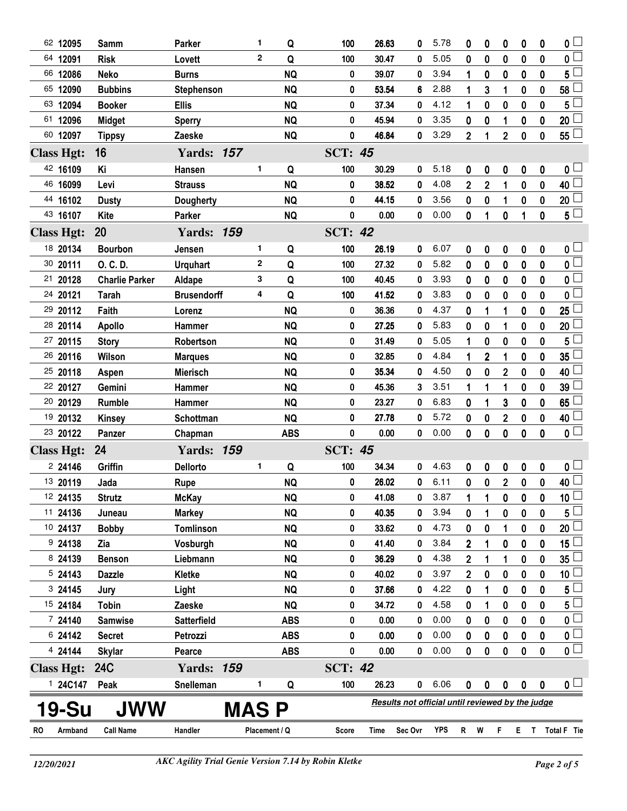| 62 12095          | Samm                  | <b>Parker</b>      | 1             | Q          | 100            | 26.63 | 0                                                | 5.78 | 0              | 0              | 0                       | 0           | 0                | 0 <sup>1</sup>  |
|-------------------|-----------------------|--------------------|---------------|------------|----------------|-------|--------------------------------------------------|------|----------------|----------------|-------------------------|-------------|------------------|-----------------|
| 64 12091          | <b>Risk</b>           | Lovett             | $\mathbf{2}$  | Q          | 100            | 30.47 | 0                                                | 5.05 | 0              | 0              | 0                       | $\bf{0}$    | 0                | 0 <sup>1</sup>  |
| 66 12086          | <b>Neko</b>           | <b>Burns</b>       |               | <b>NQ</b>  | 0              | 39.07 | 0                                                | 3.94 | 1              | 0              | 0                       | 0           | 0                | 5               |
| 65 12090          | <b>Bubbins</b>        | <b>Stephenson</b>  |               | <b>NQ</b>  | 0              | 53.54 | 6                                                | 2.88 | 1              | 3              | 1                       | $\bf{0}$    | 0                | 58              |
| 63 12094          | <b>Booker</b>         | <b>Ellis</b>       |               | <b>NQ</b>  | 0              | 37.34 | 0                                                | 4.12 | 1              | 0              | 0                       | 0           | 0                | 5               |
| 61 12096          | <b>Midget</b>         | <b>Sperry</b>      |               | <b>NQ</b>  | 0              | 45.94 | 0                                                | 3.35 | 0              | 0              |                         | 0           | 0                | 20 <sub>2</sub> |
| 60 12097          | <b>Tippsy</b>         | Zaeske             |               | <b>NQ</b>  | 0              | 46.84 | 0                                                | 3.29 | $\mathbf{2}$   | 1              | $\overline{2}$          | $\bf{0}$    | 0                | 55L             |
| <b>Class Hgt:</b> | 16                    | <b>Yards: 157</b>  |               |            | <b>SCT: 45</b> |       |                                                  |      |                |                |                         |             |                  |                 |
| 42 16109          | Κi                    | Hansen             | 1.            | Q          | 100            | 30.29 | 0                                                | 5.18 | 0              | 0              | 0                       | 0           | 0                | 0 L             |
| 46 16099          | Levi                  | <b>Strauss</b>     |               | <b>NQ</b>  | 0              | 38.52 | 0                                                | 4.08 | $\mathbf 2$    | 2              | 1                       | 0           | 0                | 40              |
| 44 16102          | <b>Dusty</b>          | <b>Dougherty</b>   |               | <b>NQ</b>  | 0              | 44.15 | 0                                                | 3.56 | 0              | 0              | 1                       | 0           | 0                | 20              |
| 43 16107          | <b>Kite</b>           | Parker             |               | <b>NQ</b>  | 0              | 0.00  | 0                                                | 0.00 | 0              | 1              | 0                       | 1           | 0                | $5+$            |
| <b>Class Hgt:</b> | 20                    | <b>Yards: 159</b>  |               |            | <b>SCT: 42</b> |       |                                                  |      |                |                |                         |             |                  |                 |
| 18 20134          | <b>Bourbon</b>        | Jensen             | 1             | Q          | 100            | 26.19 | 0                                                | 6.07 | 0              | 0              | 0                       | $\pmb{0}$   | $\mathbf 0$      | 0 <sub>0</sub>  |
| 30 20111          | O. C. D.              | <b>Urquhart</b>    | $\mathbf{2}$  | Q          | 100            | 27.32 | 0                                                | 5.82 | 0              | 0              | 0                       | 0           | 0                | 0 L             |
| 21 20128          | <b>Charlie Parker</b> | Aldape             | 3             | Q          | 100            | 40.45 | 0                                                | 3.93 | 0              | 0              | 0                       | $\mathbf 0$ | 0                | 0 <sup>1</sup>  |
| 24 20121          | <b>Tarah</b>          | <b>Brusendorff</b> | 4             | Q          | 100            | 41.52 | 0                                                | 3.83 | 0              | 0              | 0                       | 0           | 0                | 0               |
| 29 20112          | Faith                 | Lorenz             |               | <b>NQ</b>  | 0              | 36.36 | 0                                                | 4.37 | 0              | 1              | 1                       | $\mathbf 0$ | $\mathbf 0$      | 25              |
| 28 20114          | <b>Apollo</b>         | <b>Hammer</b>      |               | <b>NQ</b>  | 0              | 27.25 | 0                                                | 5.83 | 0              | 0              | 1                       | 0           | 0                | 20              |
| 27 20115          | <b>Story</b>          | Robertson          |               | <b>NQ</b>  | 0              | 31.49 | 0                                                | 5.05 | 1              | 0              | 0                       | $\mathbf 0$ | $\mathbf 0$      | 5               |
| 26 20116          | Wilson                | <b>Marques</b>     |               | <b>NQ</b>  | 0              | 32.85 | 0                                                | 4.84 | 1              | $\overline{2}$ | 1                       | 0           | 0                | 35              |
| 25 20118          | Aspen                 | <b>Mierisch</b>    |               | <b>NQ</b>  | 0              | 35.34 | 0                                                | 4.50 | 0              | $\bf{0}$       | $\overline{2}$          | $\bf{0}$    | 0                | 40              |
| 22 20127          | Gemini                | <b>Hammer</b>      |               | <b>NQ</b>  | 0              | 45.36 | 3                                                | 3.51 | 1              | 1              | 1                       | 0           | 0                | 39              |
| 20 20129          | <b>Rumble</b>         | Hammer             |               | <b>NQ</b>  | 0              | 23.27 | 0                                                | 6.83 | 0              | 1              | 3                       | $\bf{0}$    | $\boldsymbol{0}$ | 65              |
| 19 20132          | <b>Kinsey</b>         | Schottman          |               | <b>NQ</b>  | 0              | 27.78 | 0                                                | 5.72 | 0              | 0              | $\overline{\mathbf{c}}$ | 0           | 0                | 40              |
| 23 20122          | Panzer                | Chapman            |               | <b>ABS</b> | 0              | 0.00  | 0                                                | 0.00 | 0              | $\bf{0}$       | $\bf{0}$                | $\mathbf 0$ | $\mathbf{0}$     | $0+$            |
| <b>Class Hgt:</b> | 24                    | <b>Yards: 159</b>  |               |            | SCT:           | 45    |                                                  |      |                |                |                         |             |                  |                 |
| 224146            | Griffin               | Dellorto           | 1             | Q          | 100            | 34.34 | 0                                                | 4.63 | 0              | 0              | 0                       | 0           | 0                | 0 <sub>1</sub>  |
| 13 20119          | Jada                  | <b>Rupe</b>        |               | <b>NQ</b>  | 0              | 26.02 | 0                                                | 6.11 | 0              | $\pmb{0}$      | $\overline{2}$          | $\pmb{0}$   | $\pmb{0}$        | 40 <sup>1</sup> |
| 12 24135          | <b>Strutz</b>         | <b>McKay</b>       |               | <b>NQ</b>  | 0              | 41.08 | 0                                                | 3.87 |                |                | 0                       | 0           | 0                | $\overline{10}$ |
| 11 24136          | Juneau                | <b>Markey</b>      |               | <b>NQ</b>  | 0              | 40.35 | 0                                                | 3.94 | 0              | 1              | 0                       | $\mathbf 0$ | $\mathbf 0$      | 5               |
| 10 24137          | <b>Bobby</b>          | <b>Tomlinson</b>   |               | <b>NQ</b>  | 0              | 33.62 | 0                                                | 4.73 | 0              | 0              |                         | 0           | 0                | 20 <sup>1</sup> |
| 924138            | Zia                   | Vosburgh           |               | <b>NQ</b>  | 0              | 41.40 | 0                                                | 3.84 | $\mathbf 2$    |                | 0                       | 0           | 0                | 15 <sub>1</sub> |
| 8 24139           | <b>Benson</b>         | Liebmann           |               | <b>NQ</b>  | 0              | 36.29 | 0                                                | 4.38 | 2              |                |                         | 0           | 0                | 35              |
| 524143            | <b>Dazzle</b>         | <b>Kletke</b>      |               | <b>NQ</b>  | 0              | 40.02 | 0                                                | 3.97 | $\overline{2}$ | 0              | 0                       | $\mathbf 0$ | 0                | 10 <sub>1</sub> |
| 324145            | Jury                  | Light              |               | <b>NQ</b>  | 0              | 37.66 | 0                                                | 4.22 | 0              |                | 0                       | 0           | 0                | 5               |
| 15 24184          | <b>Tobin</b>          | Zaeske             |               | <b>NQ</b>  | 0              | 34.72 | 0                                                | 4.58 | 0              | 1              | 0                       | 0           | 0                | $5 -$           |
| 7 24140           | <b>Samwise</b>        | <b>Satterfield</b> |               | <b>ABS</b> | 0              | 0.00  | 0                                                | 0.00 | 0              | 0              | 0                       | 0           | 0                | 0 <sup>1</sup>  |
| 6 24142           | <b>Secret</b>         | Petrozzi           |               | <b>ABS</b> | 0              | 0.00  | 0                                                | 0.00 | 0              | $\bf{0}$       | $\bf{0}$                | $\bf{0}$    | $\bf{0}$         | $0\perp$        |
| 4 24144           | <b>Skylar</b>         | Pearce             |               | <b>ABS</b> | 0              | 0.00  | 0                                                | 0.00 | 0              | 0              | 0                       | 0           | 0                | 0 <sub>1</sub>  |
| <b>Class Hgt:</b> | <b>24C</b>            | <b>Yards: 159</b>  |               |            | <b>SCT: 42</b> |       |                                                  |      |                |                |                         |             |                  |                 |
| 1 24C147          | Peak                  | Snelleman          | 1             | Q          | 100            | 26.23 | 0                                                | 6.06 | 0              | 0              | 0                       | 0           | $\boldsymbol{0}$ | 0 <sub>1</sub>  |
| 19-Su             | <b>JWW</b>            |                    | <b>MAS P</b>  |            |                |       | Results not official until reviewed by the judge |      |                |                |                         |             |                  |                 |
|                   |                       |                    |               |            |                |       |                                                  |      |                |                |                         |             |                  |                 |
| RO<br>Armband     | <b>Call Name</b>      | Handler            | Placement / Q |            | Score          | Time  | Sec Ovr                                          | YPS  | R              | W              | F                       | Е           | T                | Total F Tie     |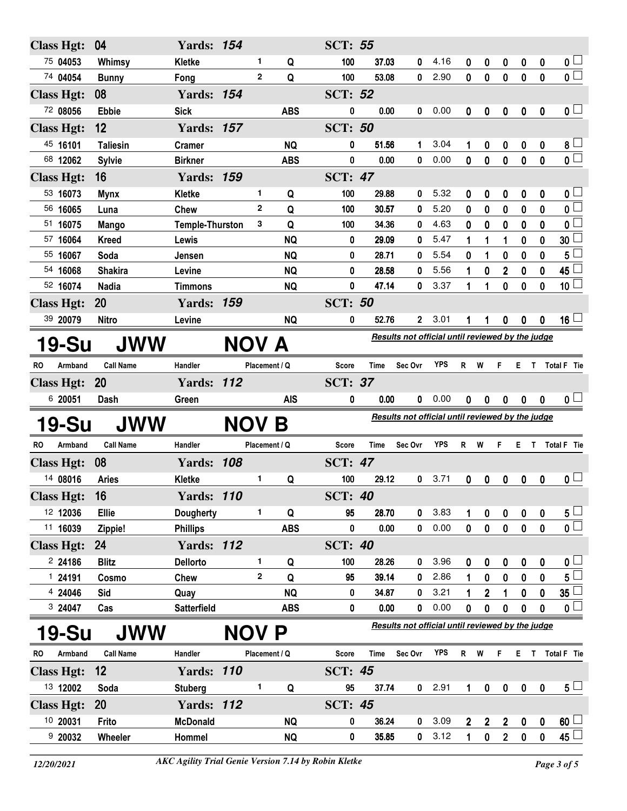| <b>Class Hgt:</b>             | 04                 | <b>Yards: 154</b>            |            |               |                        | <b>SCT: 55</b>       |                |                                                  |              |                     |                                 |                                     |                   |                            |                                 |
|-------------------------------|--------------------|------------------------------|------------|---------------|------------------------|----------------------|----------------|--------------------------------------------------|--------------|---------------------|---------------------------------|-------------------------------------|-------------------|----------------------------|---------------------------------|
| 75 04053                      | Whimsy             | <b>Kletke</b>                |            | 1.            | Q                      | 100                  | 37.03          | 0                                                | 4.16         | 0                   | 0                               | 0                                   | 0                 | 0                          | $\mathbf{0}$ $\Box$             |
| 74 04054                      | <b>Bunny</b>       | Fong                         |            | $\mathbf{2}$  | Q                      | 100                  | 53.08          | 0                                                | 2.90         | $\mathbf 0$         | $\mathbf 0$                     | $\bf{0}$                            | $\mathbf 0$       | $\mathbf 0$                | $\overline{\mathbf{0}}$         |
| <b>Class Hgt:</b>             | 08                 | <b>Yards: 154</b>            |            |               |                        | <b>SCT: 52</b>       |                |                                                  |              |                     |                                 |                                     |                   |                            |                                 |
| 72 08056                      | <b>Ebbie</b>       | <b>Sick</b>                  |            |               | <b>ABS</b>             | 0                    | 0.00           | 0                                                | 0.00         | 0                   | 0                               | $\pmb{0}$                           | $\pmb{0}$         | 0                          | $\mathbf{0}$ $\Box$             |
| <b>Class Hgt:</b>             | 12                 | <b>Yards: 157</b>            |            |               |                        | <b>SCT: 50</b>       |                |                                                  |              |                     |                                 |                                     |                   |                            |                                 |
| 45 16101                      | <b>Taliesin</b>    | <b>Cramer</b>                |            |               | <b>NQ</b>              | 0                    | 51.56          | 1                                                | 3.04         | 1                   | 0                               | 0                                   | 0                 | $\boldsymbol{0}$           | $8\lceil$                       |
| 68 12062                      | <b>Sylvie</b>      | <b>Birkner</b>               |            |               | <b>ABS</b>             | 0                    | 0.00           | 0                                                | 0.00         | 0                   | $\pmb{0}$                       | $\bf{0}$                            | $\pmb{0}$         | $\mathbf 0$                | $\overline{\mathbf{0}}$         |
| <b>Class Hgt:</b>             | 16                 | <b>Yards: 159</b>            |            |               |                        | <b>SCT: 47</b>       |                |                                                  |              |                     |                                 |                                     |                   |                            |                                 |
| 53 16073                      | <b>Mynx</b>        | <b>Kletke</b>                |            | 1.            | Q                      | 100                  | 29.88          | 0                                                | 5.32         | 0                   | 0                               | 0                                   | 0                 | 0                          | 0 L                             |
| 56 16065                      | Luna               | Chew                         |            | $\mathbf{2}$  | Q                      | 100                  | 30.57          | 0                                                | 5.20         | 0                   | 0                               | 0                                   | 0                 | 0                          | 0 L                             |
| 51 16075                      | Mango              | <b>Temple-Thurston</b>       |            | 3             | Q                      | 100                  | 34.36          | 0                                                | 4.63         | 0                   | 0                               | 0                                   | 0                 | 0                          | 0                               |
| 57 16064                      | <b>Kreed</b>       | Lewis                        |            |               | <b>NQ</b>              | 0                    | 29.09          | 0                                                | 5.47         | 1                   | 1                               | 1                                   | 0                 | 0                          | 30                              |
| 55 16067                      | Soda               | Jensen                       |            |               | <b>NQ</b>              | 0                    | 28.71          | 0                                                | 5.54         | 0                   | 1                               | 0                                   | 0                 | 0                          | 5                               |
| 54 16068                      | <b>Shakira</b>     | Levine                       |            |               | <b>NQ</b>              | 0                    | 28.58          | 0                                                | 5.56         | 1                   | 0                               | 2                                   | 0                 | 0                          | 45 l                            |
| 52 16074                      | <b>Nadia</b>       | <b>Timmons</b>               |            |               | <b>NQ</b>              | 0                    | 47.14          | 0                                                | 3.37         | 1                   | 1                               | 0                                   | 0                 | $\mathbf{0}$               | 10 $\lfloor$                    |
| <b>Class Hgt:</b>             | 20                 | <b>Yards: 159</b>            |            |               |                        | <b>SCT: 50</b>       |                |                                                  |              |                     |                                 |                                     |                   |                            |                                 |
| 39 20079                      | <b>Nitro</b>       | Levine                       |            |               | <b>NQ</b>              | 0                    | 52.76          | $\mathbf{2}$                                     | 3.01         |                     |                                 | 0                                   | 0                 | 0                          | $16\perp$                       |
| 19-Su                         | <b>JWW</b>         |                              |            | NOV A         |                        |                      |                | Results not official until reviewed by the judge |              |                     |                                 |                                     |                   |                            |                                 |
| Armband<br>RO.                | <b>Call Name</b>   | Handler                      |            | Placement / Q |                        | <b>Score</b>         | Time           | Sec Ovr                                          | YPS          | R.                  | W                               | F                                   |                   |                            | E T Total F Tie                 |
| <b>Class Hgt:</b>             | <b>20</b>          | <b>Yards: 112</b>            |            |               |                        | <b>SCT: 37</b>       |                |                                                  |              |                     |                                 |                                     |                   |                            |                                 |
|                               |                    |                              |            |               |                        |                      |                |                                                  |              |                     |                                 |                                     |                   |                            |                                 |
|                               |                    |                              |            |               |                        |                      |                |                                                  |              |                     |                                 |                                     |                   |                            |                                 |
| 6 20051                       | Dash               | Green                        |            |               | <b>AIS</b>             | 0                    | 0.00           | 0                                                | 0.00         | $\boldsymbol{0}$    | $\boldsymbol{0}$                | 0                                   | $\bf{0}$          | $\bf{0}$                   | 0 <sub>1</sub>                  |
| 19-Su                         | JWW                |                              | <b>NOV</b> |               | B                      |                      |                | Results not official until reviewed by the judge |              |                     |                                 |                                     |                   |                            |                                 |
| RO.<br>Armband                | <b>Call Name</b>   | Handler                      |            | Placement / Q |                        | Score                | <b>Time</b>    | Sec Ovr                                          | YPS          | R                   | W                               | F                                   | Е                 | $\mathsf{T}$               | <b>Total F</b> Tie              |
| <b>Class Hgt:</b>             | 08                 | <b>Yards: 108</b>            |            |               |                        | <b>SCT: 47</b>       |                |                                                  |              |                     |                                 |                                     |                   |                            |                                 |
| 14 08016                      | <b>Aries</b>       | <b>Kletke</b>                |            | 1             | Q                      | 100                  | 29.12          | 0                                                | 3.71         | 0                   | 0                               | $\mathbf 0$                         | 0                 | 0                          | $\mathbf{0}$ $\Box$             |
|                               |                    |                              |            |               |                        |                      |                |                                                  |              |                     |                                 |                                     |                   |                            |                                 |
| <b>Class Hgt:</b><br>12 12036 | 16<br><b>Ellie</b> | <b>Yards: 110</b>            |            | 1.            | Q                      | <b>SCT: 40</b><br>95 | 28.70          | 0                                                | 3.83         | 1                   |                                 |                                     |                   | 0                          |                                 |
| 11 16039                      | Zippie!            | Dougherty<br><b>Phillips</b> |            |               | <b>ABS</b>             | 0                    | 0.00           |                                                  | 0.00         | $\mathbf{0}$        | 0<br>$\mathbf 0$                | 0<br>$\mathbf 0$                    | 0<br>$\mathbf{0}$ | $\mathbf 0$                | $5+$<br>$\overline{\mathbf{0}}$ |
| <b>Class Hgt:</b>             | 24                 | <b>Yards: 112</b>            |            |               |                        | <b>SCT: 40</b>       |                |                                                  |              |                     |                                 |                                     |                   |                            |                                 |
| 224186                        | <b>Blitz</b>       | <b>Dellorto</b>              |            | 1             | Q                      | 100                  | 28.26          | 0                                                | 3.96         | 0                   | 0                               | $\boldsymbol{0}$                    | 0                 | 0                          | 0 <sub>0</sub>                  |
| 124191                        | Cosmo              | Chew                         |            | $\mathbf{2}$  | Q                      | 95                   | 39.14          | 0                                                | 2.86         | 1                   | 0                               | 0                                   | 0                 | $\mathbf 0$                | 5 L                             |
| 4 24046                       | Sid                | Quay                         |            |               | <b>NQ</b>              | 0                    | 34.87          | 0                                                | 3.21         |                     | 2                               |                                     | 0                 | 0                          | 35 <sup>1</sup>                 |
| 3 24047                       | Cas                | Satterfield                  |            |               | <b>ABS</b>             | 0                    | 0.00           | 0                                                | 0.00         | $\mathbf 0$         | 0                               | 0                                   | 0                 | 0                          | 0 <sup>L</sup>                  |
|                               |                    |                              |            |               |                        |                      |                | Results not official until reviewed by the judge |              |                     |                                 |                                     |                   |                            |                                 |
| 19-Su                         | <b>JWW</b>         |                              |            | <b>NOV P</b>  |                        |                      |                |                                                  |              |                     |                                 |                                     |                   |                            |                                 |
| Armband<br>RO.                | <b>Call Name</b>   | Handler                      |            | Placement / Q |                        | Score                | Time           | Sec Ovr                                          | <b>YPS</b>   | $\mathsf{R}$        | W                               | F                                   |                   |                            | E T Total F Tie                 |
| <b>Class Hgt:</b>             | 12                 | <b>Yards: 110</b>            |            |               |                        | <b>SCT: 45</b>       |                |                                                  |              |                     |                                 |                                     |                   |                            |                                 |
| 13 12002                      | Soda               | <b>Stuberg</b>               |            | 1             | Q                      | 95                   | 37.74          | $\mathbf{0}$                                     | 2.91         | 1                   | $\pmb{0}$                       | $\boldsymbol{0}$                    | $\bf{0}$          | $\mathbf 0$                | 5 <sub>1</sub>                  |
| <b>Class Hgt:</b>             | <b>20</b>          | <b>Yards: 112</b>            |            |               |                        | <b>SCT: 45</b>       |                |                                                  |              |                     |                                 |                                     |                   |                            |                                 |
| 10 20031<br>9 20032           | Frito<br>Wheeler   | <b>McDonald</b><br>Hommel    |            |               | <b>NQ</b><br><b>NQ</b> | 0<br>0               | 36.24<br>35.85 | 0<br>$\mathbf 0$                                 | 3.09<br>3.12 | $\overline{2}$<br>1 | $\boldsymbol{2}$<br>$\mathbf 0$ | $\boldsymbol{2}$<br>$2\overline{ }$ | 0<br>$\mathbf 0$  | $\mathbf 0$<br>$\mathbf 0$ | $60\perp$<br>45 $\lfloor$       |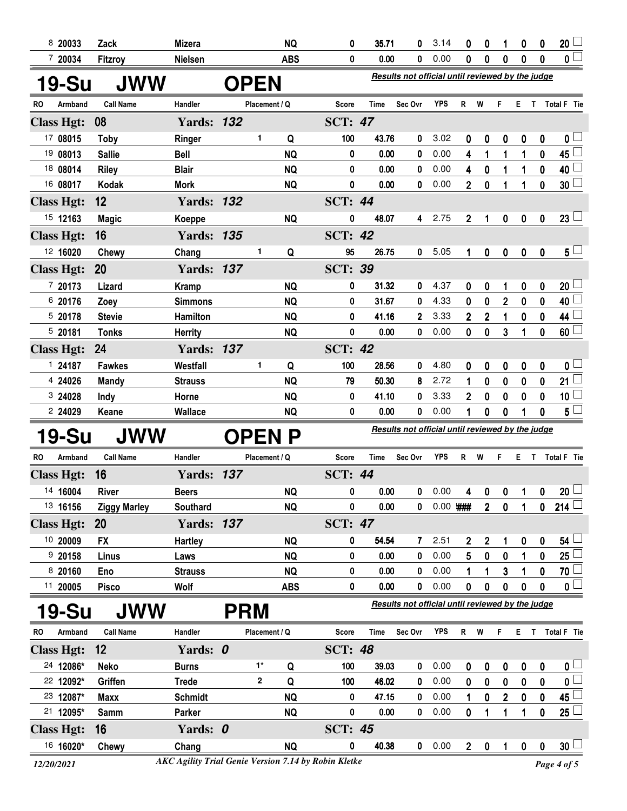| 8 20033              | Zack                | <b>Mizera</b>     |            |                                                  | <b>NQ</b>  | 0              | 35.71       | 0                                                | 3.14       | 0              | 0              | 1            | 0              | 0           | 20 <sup>1</sup>       |
|----------------------|---------------------|-------------------|------------|--------------------------------------------------|------------|----------------|-------------|--------------------------------------------------|------------|----------------|----------------|--------------|----------------|-------------|-----------------------|
| 7 20034              | Fitzroy             | <b>Nielsen</b>    |            |                                                  | <b>ABS</b> | 0              | 0.00        | 0                                                | 0.00       | 0              | $\bf{0}$       | $\bf{0}$     | $\bf{0}$       | $\mathbf 0$ | 0 <sup>2</sup>        |
| <b>19-Su</b>         | <b>JWW</b>          |                   |            | Results not official until reviewed by the judge |            |                |             |                                                  |            |                |                |              |                |             |                       |
| Armband<br>RO        | <b>Call Name</b>    | Handler           |            | Placement / Q                                    |            | <b>Score</b>   | Time        | Sec Ovr                                          | <b>YPS</b> | R              | W              | F            | E.             | T.          | Total F Tie           |
| <b>Class Hgt:</b>    | 08                  | <b>Yards: 132</b> |            |                                                  |            | <b>SCT: 47</b> |             |                                                  |            |                |                |              |                |             |                       |
| 17 08015             | <b>Toby</b>         | Ringer            |            | $\mathbf{1}$                                     | Q          | 100            | 43.76       | 0                                                | 3.02       | 0              | 0              | $\bf{0}$     | $\bf{0}$       | $\bf{0}$    | 0 l                   |
| 19 08013             | <b>Sallie</b>       | <b>Bell</b>       |            |                                                  | <b>NQ</b>  | 0              | 0.00        | 0                                                | 0.00       | 4              | 1              | 1            | 1              | 0           | 45                    |
| 18 08014             | <b>Riley</b>        | <b>Blair</b>      |            |                                                  | <b>NQ</b>  | 0              | 0.00        | 0                                                | 0.00       | 4              | $\mathbf 0$    | 1            | 1              | 0           | 40                    |
| 16 08017             | Kodak               | <b>Mork</b>       |            |                                                  | <b>NQ</b>  | 0              | 0.00        | 0                                                | 0.00       | $\overline{2}$ | $\mathbf 0$    | 1            | 1              | 0           | 30 <sub>2</sub>       |
| <b>Class Hgt:</b>    | 12                  | <b>Yards: 132</b> |            |                                                  |            | <b>SCT: 44</b> |             |                                                  |            |                |                |              |                |             |                       |
| 15 12163             | <b>Magic</b>        | Koeppe            |            |                                                  | <b>NQ</b>  | 0              | 48.07       | 4                                                | 2.75       | 2              |                | 0            | 0              | 0           | $23\lfloor$           |
| <b>Class Hgt:</b>    | 16                  | <b>Yards: 135</b> |            |                                                  |            | <b>SCT: 42</b> |             |                                                  |            |                |                |              |                |             |                       |
| 12 16020             | Chewy               | Chang             |            | 1                                                | Q          | 95             | 26.75       | 0                                                | 5.05       | 1              | $\pmb{0}$      | $\pmb{0}$    | 0              | 0           | $5\sqcup$             |
| <b>Class Hgt:</b>    | 20                  | <b>Yards: 137</b> |            |                                                  |            | <b>SCT: 39</b> |             |                                                  |            |                |                |              |                |             |                       |
| 7 20173              | Lizard              | <b>Kramp</b>      |            |                                                  | <b>NQ</b>  | 0              | 31.32       | 0                                                | 4.37       | 0              | 0              | 1            | 0              | 0           | 20 <sub>2</sub>       |
| 6 20176              | Zoey                | <b>Simmons</b>    |            |                                                  | <b>NQ</b>  | 0              | 31.67       | 0                                                | 4.33       | 0              | 0              | $\mathbf 2$  | 0              | 0           | 40                    |
| 5 20178              | <b>Stevie</b>       | Hamilton          |            |                                                  | <b>NQ</b>  | 0              | 41.16       | $\overline{2}$                                   | 3.33       | $\overline{2}$ | $\overline{2}$ | 1            | 0              | 0           | 44                    |
| 520181               | <b>Tonks</b>        | <b>Herrity</b>    |            |                                                  | <b>NQ</b>  | 0              | 0.00        | 0                                                | 0.00       | 0              | $\mathbf 0$    | 3            | 1              | 0           | 60                    |
| <b>Class Hgt:</b>    | 24                  | <b>Yards: 137</b> |            |                                                  |            | <b>SCT: 42</b> |             |                                                  |            |                |                |              |                |             |                       |
| 124187               | <b>Fawkes</b>       | Westfall          |            | 1                                                | Q          | 100            | 28.56       | 0                                                | 4.80       | 0              | 0              | 0            | 0              | 0           | 0 <sub>0</sub>        |
| 4 24026              | <b>Mandy</b>        | <b>Strauss</b>    |            |                                                  | <b>NQ</b>  | 79             | 50.30       | 8                                                | 2.72       | 1              | 0              | 0            | 0              | 0           | 21                    |
| 3 24028              | Indy                | Horne             |            |                                                  | <b>NQ</b>  | 0              | 41.10       | 0                                                | 3.33       | $\mathbf{2}$   | $\mathbf 0$    | $\bf{0}$     | $\bf{0}$       | $\mathbf 0$ | 10 <sup>°</sup>       |
| 2 24029              | Keane               | Wallace           |            |                                                  | <b>NQ</b>  | 0              | 0.00        | 0                                                | 0.00       | 1              | 0              | $\bf{0}$     | 1              | 0           | 5 <sub>5</sub>        |
| 19-Su                | JWW                 |                   |            | <b>OPEN</b>                                      |            |                |             | Results not official until reviewed by the judge |            |                |                |              |                |             |                       |
| RO<br>Armband        | <b>Call Name</b>    | Handler           |            | Placement / Q                                    |            | Score          | <b>Time</b> | Sec Ovr                                          | <b>YPS</b> | R              | W              | F            | Е.             | T.          | <b>Total F</b> Tie    |
| <b>Class Hgt:</b>    | 16                  | <b>Yards: 137</b> |            |                                                  |            | <b>SCT: 44</b> |             |                                                  |            |                |                |              |                |             |                       |
| 14 16004             | <b>River</b>        | <b>Beers</b>      |            |                                                  | <b>NQ</b>  | 0              | 0.00        | 0                                                | 0.00       | 4              | $\mathbf 0$    |              | 0 <sub>1</sub> | 0           | $20\perp$             |
| 13 16156             | <b>Ziggy Marley</b> | Southard          |            |                                                  | <b>NQ</b>  | 0              | 0.00        | 0                                                | $0.00$ ### |                | 2 <sup>1</sup> | $\pmb{0}$    | 1              | 0           | 214                   |
| <b>Class Hgt:</b>    | <b>20</b>           | <b>Yards: 137</b> |            |                                                  |            | <b>SCT: 47</b> |             |                                                  |            |                |                |              |                |             |                       |
| 10 20009             | <b>FX</b>           | <b>Hartley</b>    |            |                                                  | <b>NQ</b>  | 0              | 54.54       | 7                                                | 2.51       | 2              | $\mathbf 2$    | 1            | 0              | 0           | 54 <sup>°</sup>       |
| 920158               | Linus               | Laws              |            |                                                  | <b>NQ</b>  | 0              | 0.00        | 0                                                | 0.00       | 5              | $\mathbf 0$    | $\mathbf 0$  | 1              | 0           | 25 <sub>2</sub>       |
| 8 20160              | Eno                 | <b>Strauss</b>    |            |                                                  | <b>NQ</b>  | 0              | 0.00        | 0                                                | 0.00       |                | 1              | 3            | 1              | 0           | 70                    |
| 11 20005             | <b>Pisco</b>        | Wolf              |            |                                                  | <b>ABS</b> | 0              | 0.00        | 0                                                | 0.00       | 0              | $\mathbf 0$    | 0            | 0              | 0           | 0 <sup>1</sup>        |
| 19-Su                | JWW                 |                   | <b>PRM</b> |                                                  |            |                |             | Results not official until reviewed by the judge |            |                |                |              |                |             |                       |
| Armband<br><b>RO</b> | <b>Call Name</b>    | Handler           |            | Placement / Q                                    |            | <b>Score</b>   | <b>Time</b> | Sec Ovr                                          | YPS        | R W            |                | F            |                |             | E T Total F Tie       |
| <b>Class Hgt:</b>    | 12                  | Yards: 0          |            |                                                  |            | <b>SCT: 48</b> |             |                                                  |            |                |                |              |                |             |                       |
| 24 12086*            | <b>Neko</b>         | <b>Burns</b>      |            | $1^*$                                            | Q          | 100            | 39.03       | 0                                                | 0.00       | 0              | 0              | 0            | 0              | 0           | $\mathfrak{o} \sqcup$ |
| 22 12092*            | Griffen             | <b>Trede</b>      |            | $\mathbf{2}$                                     | Q          | 100            | 46.02       | 0                                                | 0.00       | $\bf{0}$       | $\pmb{0}$      | $\bf{0}$     | 0              | 0           | $\overline{0}$        |
| 23 12087*            | <b>Maxx</b>         | <b>Schmidt</b>    |            |                                                  | <b>NQ</b>  | 0              | 47.15       | 0                                                | 0.00       | 1              | $\pmb{0}$      | $\mathbf{2}$ | 0              | $\mathbf 0$ | 45                    |
| 21 12095*            | Samm                | Parker            |            |                                                  | <b>NQ</b>  | 0              | 0.00        | 0                                                | 0.00       | 0              | 1              | 1            | 1              | 0           | $25 -$                |
| <b>Class Hgt:</b>    | 16                  | Yards: 0          |            |                                                  |            | <b>SCT: 45</b> |             |                                                  |            |                |                |              |                |             |                       |
| 16 16020*            | Chewy               | Chang             |            |                                                  | <b>NQ</b>  | 0              | 40.38       | $\mathbf 0$                                      | 0.00       | $\overline{2}$ | $\mathbf 0$    | $\mathbf{1}$ | $\mathbf 0$    | $\pmb{0}$   | $30\perp$             |

*12/20/2021 Page 4 of 5 AKC Agility Trial Genie Version 7.14 by Robin Kletke*